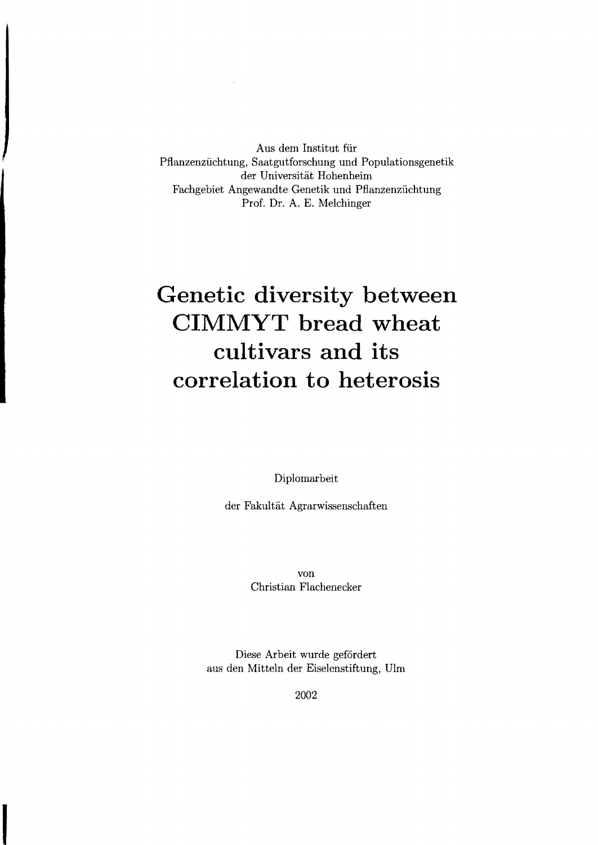Aus dem Institut für Pfianzenzüchtung, Saatgutforschung und Populationsgenetik der Universität Hohenheim Fachgebiet Angewandte Genetik und Pfianzenzüchtung Prof. Dr. A. E. Melchinger

## **Genetic diversity between CIMMYT bread wheat cultivars and its correlation to heterosis**

Diplomarbeit

der Fakultät Agrarwissenschaften

von Christian Flachenecker

Diese Arbeit wurde gefördert aus den Mitteln der Eiselenstiftung, Uim

2002